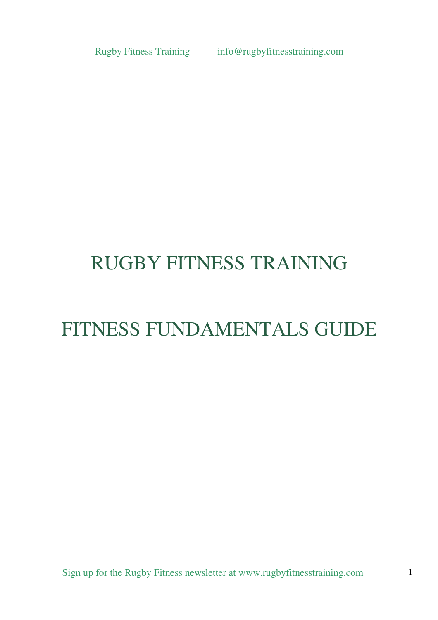# RUGBY FITNESS TRAINING

# FITNESS FUNDAMENTALS GUIDE

Sign up for the Rugby Fitness newsletter at www.rugbyfitnesstraining.com 1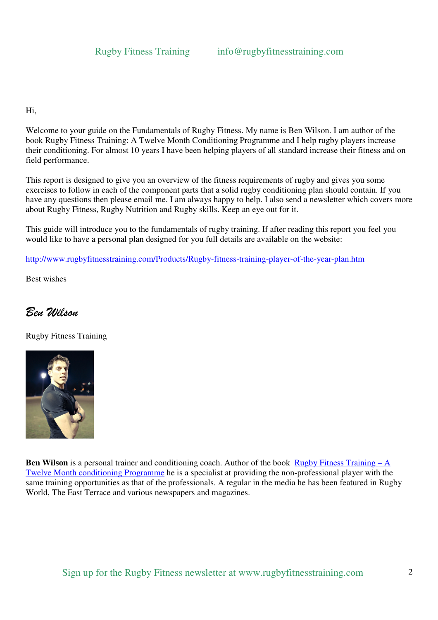Hi,

Welcome to your guide on the Fundamentals of Rugby Fitness. My name is Ben Wilson. I am author of the book Rugby Fitness Training: A Twelve Month Conditioning Programme and I help rugby players increase their conditioning. For almost 10 years I have been helping players of all standard increase their fitness and on field performance.

This report is designed to give you an overview of the fitness requirements of rugby and gives you some exercises to follow in each of the component parts that a solid rugby conditioning plan should contain. If you have any questions then please email me. I am always happy to help. I also send a newsletter which covers more about Rugby Fitness, Rugby Nutrition and Rugby skills. Keep an eye out for it.

This guide will introduce you to the fundamentals of rugby training. If after reading this report you feel you would like to have a personal plan designed for you full details are available on the website:

http://www.rugbyfitnesstraining.com/Products/Rugby-fitness-training-player-of-the-year-plan.htm

Best wishes

# Ben Wilson

Rugby Fitness Training



**Ben Wilson** is a personal trainer and conditioning coach. Author of the book Rugby Fitness Training – A Twelve Month conditioning Programme he is a specialist at providing the non-professional player with the same training opportunities as that of the professionals. A regular in the media he has been featured in Rugby World, The East Terrace and various newspapers and magazines.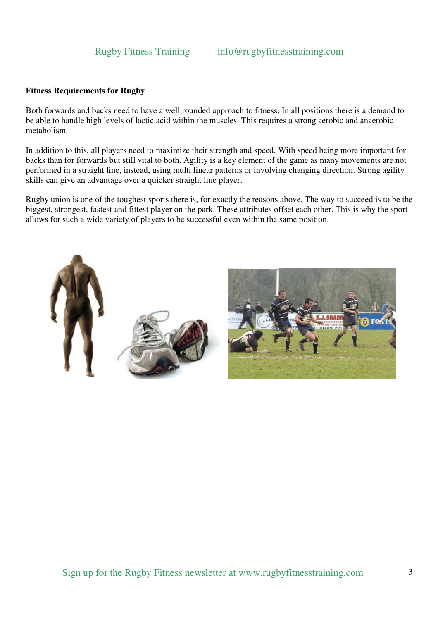# **Fitness Requirements for Rugby**

Both forwards and backs need to have a well rounded approach to fitness. In all positions there is a demand to be able to handle high levels of lactic acid within the muscles. This requires a strong aerobic and anaerobic metabolism.

In addition to this, all players need to maximize their strength and speed. With speed being more important for backs than for forwards but still vital to both. Agility is a key element of the game as many movements are not performed in a straight line, instead, using multi linear patterns or involving changing direction. Strong agility skills can give an advantage over a quicker straight line player.

Rugby union is one of the toughest sports there is, for exactly the reasons above. The way to succeed is to be the biggest, strongest, fastest and fittest player on the park. These attributes offset each other. This is why the sport allows for such a wide variety of players to be successful even within the same position.

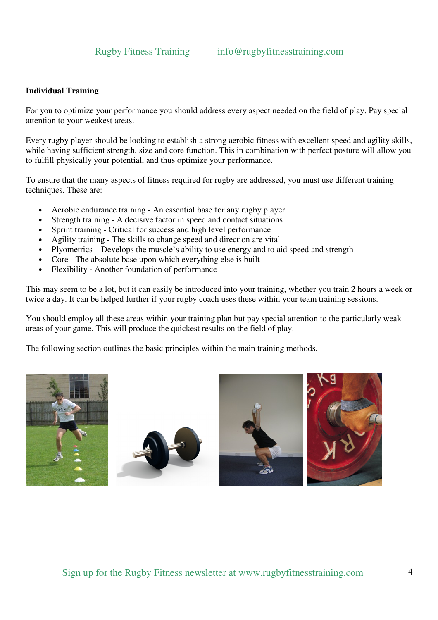# **Individual Training**

For you to optimize your performance you should address every aspect needed on the field of play. Pay special attention to your weakest areas.

Every rugby player should be looking to establish a strong aerobic fitness with excellent speed and agility skills, while having sufficient strength, size and core function. This in combination with perfect posture will allow you to fulfill physically your potential, and thus optimize your performance.

To ensure that the many aspects of fitness required for rugby are addressed, you must use different training techniques. These are:

- Aerobic endurance training An essential base for any rugby player
- Strength training A decisive factor in speed and contact situations
- Sprint training Critical for success and high level performance
- Agility training The skills to change speed and direction are vital
- Plyometrics Develops the muscle's ability to use energy and to aid speed and strength
- Core The absolute base upon which everything else is built
- Flexibility Another foundation of performance

This may seem to be a lot, but it can easily be introduced into your training, whether you train 2 hours a week or twice a day. It can be helped further if your rugby coach uses these within your team training sessions.

You should employ all these areas within your training plan but pay special attention to the particularly weak areas of your game. This will produce the quickest results on the field of play.

The following section outlines the basic principles within the main training methods.

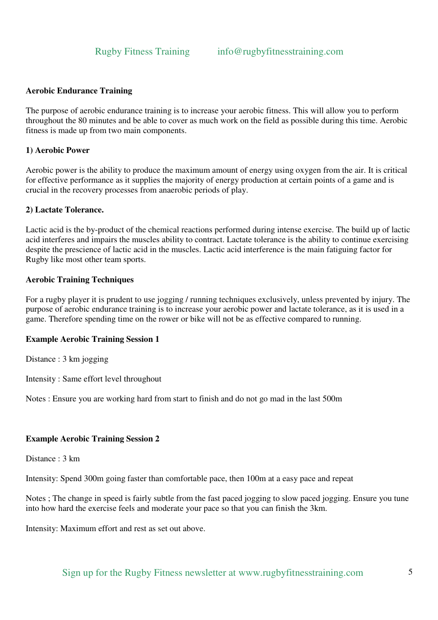# **Aerobic Endurance Training**

The purpose of aerobic endurance training is to increase your aerobic fitness. This will allow you to perform throughout the 80 minutes and be able to cover as much work on the field as possible during this time. Aerobic fitness is made up from two main components.

# **1) Aerobic Power**

Aerobic power is the ability to produce the maximum amount of energy using oxygen from the air. It is critical for effective performance as it supplies the majority of energy production at certain points of a game and is crucial in the recovery processes from anaerobic periods of play.

### **2) Lactate Tolerance.**

Lactic acid is the by-product of the chemical reactions performed during intense exercise. The build up of lactic acid interferes and impairs the muscles ability to contract. Lactate tolerance is the ability to continue exercising despite the prescience of lactic acid in the muscles. Lactic acid interference is the main fatiguing factor for Rugby like most other team sports.

### **Aerobic Training Techniques**

For a rugby player it is prudent to use jogging / running techniques exclusively, unless prevented by injury. The purpose of aerobic endurance training is to increase your aerobic power and lactate tolerance, as it is used in a game. Therefore spending time on the rower or bike will not be as effective compared to running.

# **Example Aerobic Training Session 1**

Distance : 3 km jogging

Intensity : Same effort level throughout

Notes : Ensure you are working hard from start to finish and do not go mad in the last 500m

# **Example Aerobic Training Session 2**

Distance : 3 km

Intensity: Spend 300m going faster than comfortable pace, then 100m at a easy pace and repeat

Notes ; The change in speed is fairly subtle from the fast paced jogging to slow paced jogging. Ensure you tune into how hard the exercise feels and moderate your pace so that you can finish the 3km.

Intensity: Maximum effort and rest as set out above.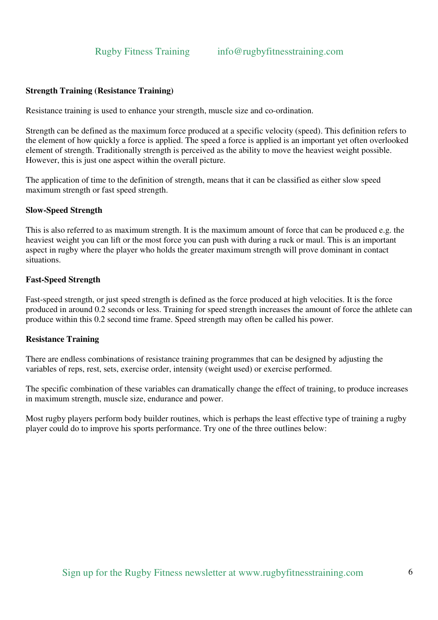# **Strength Training (Resistance Training)**

Resistance training is used to enhance your strength, muscle size and co-ordination.

Strength can be defined as the maximum force produced at a specific velocity (speed). This definition refers to the element of how quickly a force is applied. The speed a force is applied is an important yet often overlooked element of strength. Traditionally strength is perceived as the ability to move the heaviest weight possible. However, this is just one aspect within the overall picture.

The application of time to the definition of strength, means that it can be classified as either slow speed maximum strength or fast speed strength.

#### **Slow-Speed Strength**

This is also referred to as maximum strength. It is the maximum amount of force that can be produced e.g. the heaviest weight you can lift or the most force you can push with during a ruck or maul. This is an important aspect in rugby where the player who holds the greater maximum strength will prove dominant in contact situations.

#### **Fast-Speed Strength**

Fast-speed strength, or just speed strength is defined as the force produced at high velocities. It is the force produced in around 0.2 seconds or less. Training for speed strength increases the amount of force the athlete can produce within this 0.2 second time frame. Speed strength may often be called his power.

#### **Resistance Training**

There are endless combinations of resistance training programmes that can be designed by adjusting the variables of reps, rest, sets, exercise order, intensity (weight used) or exercise performed.

The specific combination of these variables can dramatically change the effect of training, to produce increases in maximum strength, muscle size, endurance and power.

Most rugby players perform body builder routines, which is perhaps the least effective type of training a rugby player could do to improve his sports performance. Try one of the three outlines below: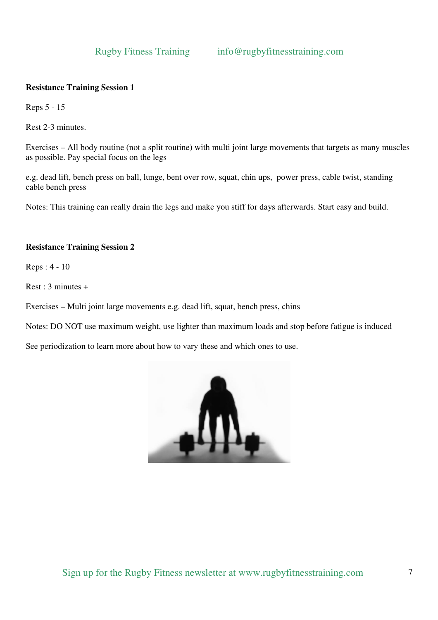# **Resistance Training Session 1**

Reps 5 - 15

Rest 2-3 minutes.

Exercises – All body routine (not a split routine) with multi joint large movements that targets as many muscles as possible. Pay special focus on the legs

e.g. dead lift, bench press on ball, lunge, bent over row, squat, chin ups, power press, cable twist, standing cable bench press

Notes: This training can really drain the legs and make you stiff for days afterwards. Start easy and build.

# **Resistance Training Session 2**

Reps : 4 - 10

Rest : 3 minutes +

Exercises – Multi joint large movements e.g. dead lift, squat, bench press, chins

Notes: DO NOT use maximum weight, use lighter than maximum loads and stop before fatigue is induced

See periodization to learn more about how to vary these and which ones to use.

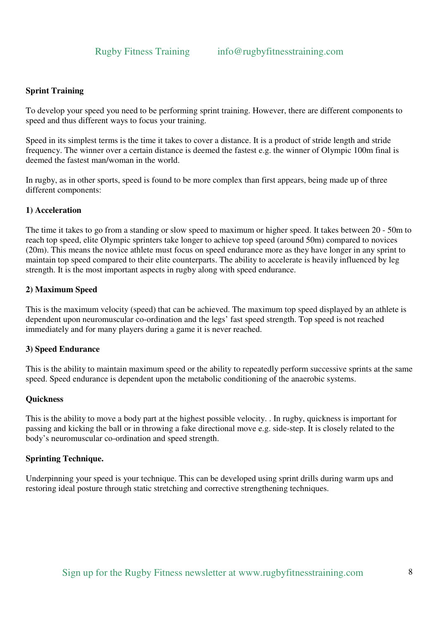# **Sprint Training**

To develop your speed you need to be performing sprint training. However, there are different components to speed and thus different ways to focus your training.

Speed in its simplest terms is the time it takes to cover a distance. It is a product of stride length and stride frequency. The winner over a certain distance is deemed the fastest e.g. the winner of Olympic 100m final is deemed the fastest man/woman in the world.

In rugby, as in other sports, speed is found to be more complex than first appears, being made up of three different components:

# **1) Acceleration**

The time it takes to go from a standing or slow speed to maximum or higher speed. It takes between 20 - 50m to reach top speed, elite Olympic sprinters take longer to achieve top speed (around 50m) compared to novices (20m). This means the novice athlete must focus on speed endurance more as they have longer in any sprint to maintain top speed compared to their elite counterparts. The ability to accelerate is heavily influenced by leg strength. It is the most important aspects in rugby along with speed endurance.

# **2) Maximum Speed**

This is the maximum velocity (speed) that can be achieved. The maximum top speed displayed by an athlete is dependent upon neuromuscular co-ordination and the legs' fast speed strength. Top speed is not reached immediately and for many players during a game it is never reached.

#### **3) Speed Endurance**

This is the ability to maintain maximum speed or the ability to repeatedly perform successive sprints at the same speed. Speed endurance is dependent upon the metabolic conditioning of the anaerobic systems.

#### **Quickness**

This is the ability to move a body part at the highest possible velocity. . In rugby, quickness is important for passing and kicking the ball or in throwing a fake directional move e.g. side-step. It is closely related to the body's neuromuscular co-ordination and speed strength.

# **Sprinting Technique.**

Underpinning your speed is your technique. This can be developed using sprint drills during warm ups and restoring ideal posture through static stretching and corrective strengthening techniques.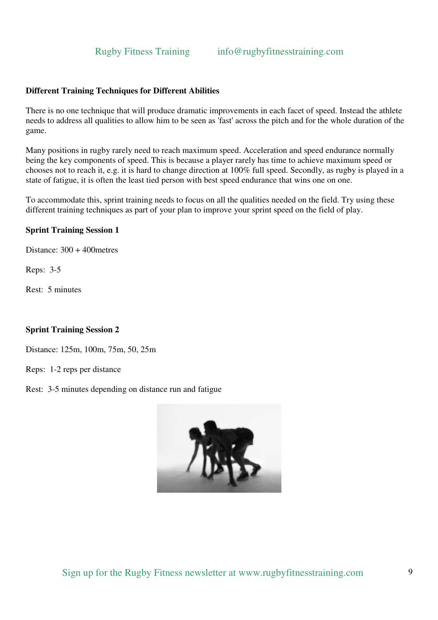# **Different Training Techniques for Different Abilities**

There is no one technique that will produce dramatic improvements in each facet of speed. Instead the athlete needs to address all qualities to allow him to be seen as 'fast' across the pitch and for the whole duration of the game.

Many positions in rugby rarely need to reach maximum speed. Acceleration and speed endurance normally being the key components of speed. This is because a player rarely has time to achieve maximum speed or chooses not to reach it, e.g. it is hard to change direction at 100% full speed. Secondly, as rugby is played in a state of fatigue, it is often the least tied person with best speed endurance that wins one on one.

To accommodate this, sprint training needs to focus on all the qualities needed on the field. Try using these different training techniques as part of your plan to improve your sprint speed on the field of play.

### **Sprint Training Session 1**

Distance: 300 + 400metres

Reps: 3-5

Rest: 5 minutes

#### **Sprint Training Session 2**

Distance: 125m, 100m, 75m, 50, 25m

Reps: 1-2 reps per distance

Rest: 3-5 minutes depending on distance run and fatigue

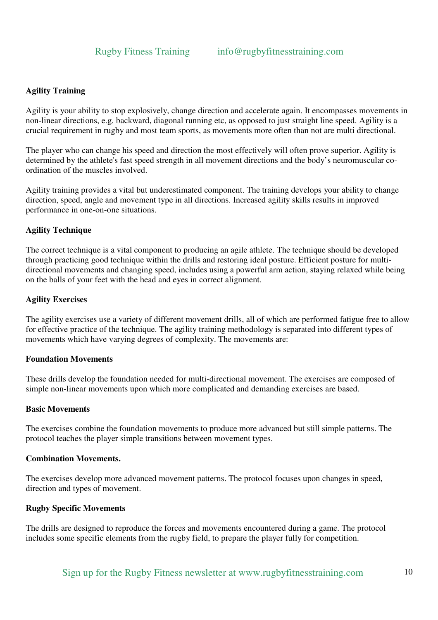# **Agility Training**

Agility is your ability to stop explosively, change direction and accelerate again. It encompasses movements in non-linear directions, e.g. backward, diagonal running etc, as opposed to just straight line speed. Agility is a crucial requirement in rugby and most team sports, as movements more often than not are multi directional.

The player who can change his speed and direction the most effectively will often prove superior. Agility is determined by the athlete's fast speed strength in all movement directions and the body's neuromuscular coordination of the muscles involved.

Agility training provides a vital but underestimated component. The training develops your ability to change direction, speed, angle and movement type in all directions. Increased agility skills results in improved performance in one-on-one situations.

# **Agility Technique**

The correct technique is a vital component to producing an agile athlete. The technique should be developed through practicing good technique within the drills and restoring ideal posture. Efficient posture for multidirectional movements and changing speed, includes using a powerful arm action, staying relaxed while being on the balls of your feet with the head and eyes in correct alignment.

# **Agility Exercises**

The agility exercises use a variety of different movement drills, all of which are performed fatigue free to allow for effective practice of the technique. The agility training methodology is separated into different types of movements which have varying degrees of complexity. The movements are:

# **Foundation Movements**

These drills develop the foundation needed for multi-directional movement. The exercises are composed of simple non-linear movements upon which more complicated and demanding exercises are based.

#### **Basic Movements**

The exercises combine the foundation movements to produce more advanced but still simple patterns. The protocol teaches the player simple transitions between movement types.

#### **Combination Movements.**

The exercises develop more advanced movement patterns. The protocol focuses upon changes in speed, direction and types of movement.

# **Rugby Specific Movements**

The drills are designed to reproduce the forces and movements encountered during a game. The protocol includes some specific elements from the rugby field, to prepare the player fully for competition.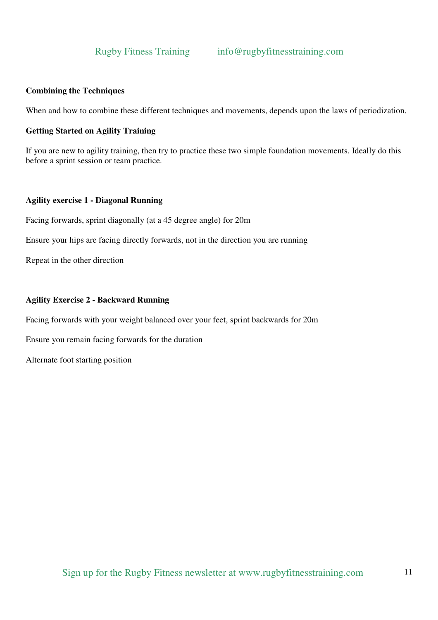# **Combining the Techniques**

When and how to combine these different techniques and movements, depends upon the laws of periodization.

### **Getting Started on Agility Training**

If you are new to agility training, then try to practice these two simple foundation movements. Ideally do this before a sprint session or team practice.

### **Agility exercise 1 - Diagonal Running**

Facing forwards, sprint diagonally (at a 45 degree angle) for 20m

Ensure your hips are facing directly forwards, not in the direction you are running

Repeat in the other direction

### **Agility Exercise 2 - Backward Running**

Facing forwards with your weight balanced over your feet, sprint backwards for 20m

Ensure you remain facing forwards for the duration

Alternate foot starting position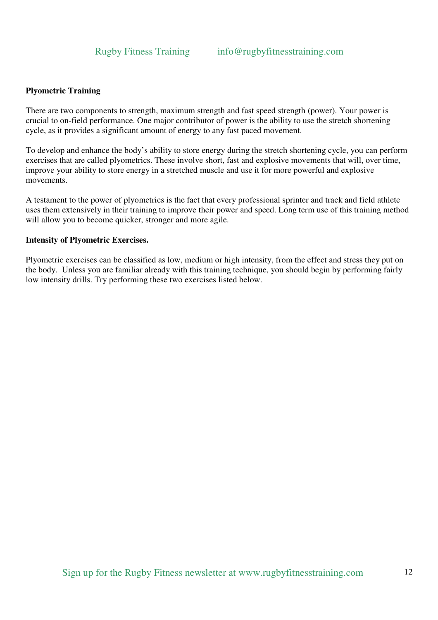# **Plyometric Training**

There are two components to strength, maximum strength and fast speed strength (power). Your power is crucial to on-field performance. One major contributor of power is the ability to use the stretch shortening cycle, as it provides a significant amount of energy to any fast paced movement.

To develop and enhance the body's ability to store energy during the stretch shortening cycle, you can perform exercises that are called plyometrics. These involve short, fast and explosive movements that will, over time, improve your ability to store energy in a stretched muscle and use it for more powerful and explosive movements.

A testament to the power of plyometrics is the fact that every professional sprinter and track and field athlete uses them extensively in their training to improve their power and speed. Long term use of this training method will allow you to become quicker, stronger and more agile.

# **Intensity of Plyometric Exercises.**

Plyometric exercises can be classified as low, medium or high intensity, from the effect and stress they put on the body. Unless you are familiar already with this training technique, you should begin by performing fairly low intensity drills. Try performing these two exercises listed below.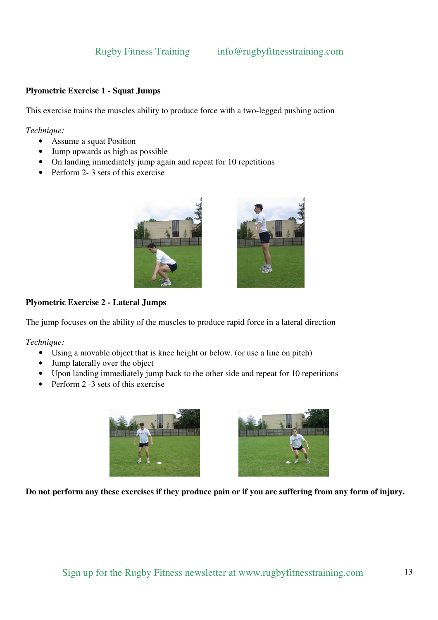# **Plyometric Exercise 1 - Squat Jumps**

This exercise trains the muscles ability to produce force with a two-legged pushing action

*Technique:* 

- Assume a squat Position
- Jump upwards as high as possible
- On landing immediately jump again and repeat for 10 repetitions
- Perform 2-3 sets of this exercise





# **Plyometric Exercise 2 - Lateral Jumps**

The jump focuses on the ability of the muscles to produce rapid force in a lateral direction

*Technique:* 

- Using a movable object that is knee height or below. (or use a line on pitch)
- Jump laterally over the object
- Upon landing immediately jump back to the other side and repeat for 10 repetitions
- Perform 2 -3 sets of this exercise





**Do not perform any these exercises if they produce pain or if you are suffering from any form of injury.**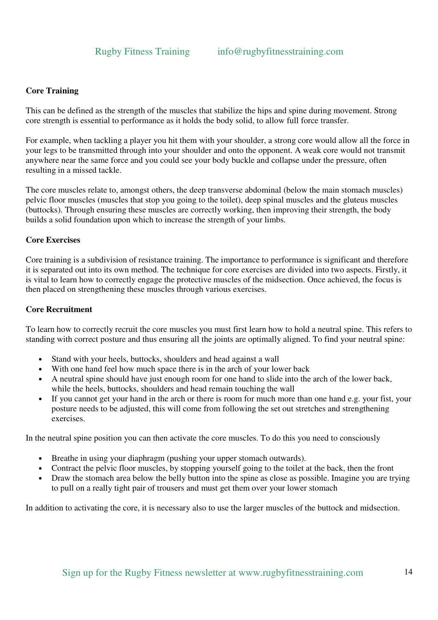# **Core Training**

This can be defined as the strength of the muscles that stabilize the hips and spine during movement. Strong core strength is essential to performance as it holds the body solid, to allow full force transfer.

For example, when tackling a player you hit them with your shoulder, a strong core would allow all the force in your legs to be transmitted through into your shoulder and onto the opponent. A weak core would not transmit anywhere near the same force and you could see your body buckle and collapse under the pressure, often resulting in a missed tackle.

The core muscles relate to, amongst others, the deep transverse abdominal (below the main stomach muscles) pelvic floor muscles (muscles that stop you going to the toilet), deep spinal muscles and the gluteus muscles (buttocks). Through ensuring these muscles are correctly working, then improving their strength, the body builds a solid foundation upon which to increase the strength of your limbs.

# **Core Exercises**

Core training is a subdivision of resistance training. The importance to performance is significant and therefore it is separated out into its own method. The technique for core exercises are divided into two aspects. Firstly, it is vital to learn how to correctly engage the protective muscles of the midsection. Once achieved, the focus is then placed on strengthening these muscles through various exercises.

# **Core Recruitment**

To learn how to correctly recruit the core muscles you must first learn how to hold a neutral spine. This refers to standing with correct posture and thus ensuring all the joints are optimally aligned. To find your neutral spine:

- Stand with your heels, buttocks, shoulders and head against a wall
- With one hand feel how much space there is in the arch of your lower back
- A neutral spine should have just enough room for one hand to slide into the arch of the lower back, while the heels, buttocks, shoulders and head remain touching the wall
- If you cannot get your hand in the arch or there is room for much more than one hand e.g. your fist, your posture needs to be adjusted, this will come from following the set out stretches and strengthening exercises.

In the neutral spine position you can then activate the core muscles. To do this you need to consciously

- Breathe in using your diaphragm (pushing your upper stomach outwards).
- Contract the pelvic floor muscles, by stopping yourself going to the toilet at the back, then the front
- Draw the stomach area below the belly button into the spine as close as possible. Imagine you are trying to pull on a really tight pair of trousers and must get them over your lower stomach

In addition to activating the core, it is necessary also to use the larger muscles of the buttock and midsection.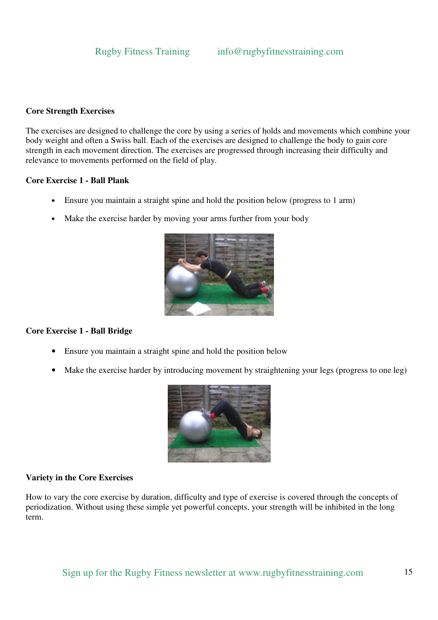# **Core Strength Exercises**

The exercises are designed to challenge the core by using a series of holds and movements which combine your body weight and often a Swiss ball. Each of the exercises are designed to challenge the body to gain core strength in each movement direction. The exercises are progressed through increasing their difficulty and relevance to movements performed on the field of play.

#### **Core Exercise 1 - Ball Plank**

- Ensure you maintain a straight spine and hold the position below (progress to 1 arm)
- Make the exercise harder by moving your arms further from your body



# **Core Exercise 1 - Ball Bridge**

- Ensure you maintain a straight spine and hold the position below
- Make the exercise harder by introducing movement by straightening your legs (progress to one leg)



# **Variety in the Core Exercises**

How to vary the core exercise by duration, difficulty and type of exercise is covered through the concepts of periodization. Without using these simple yet powerful concepts, your strength will be inhibited in the long term.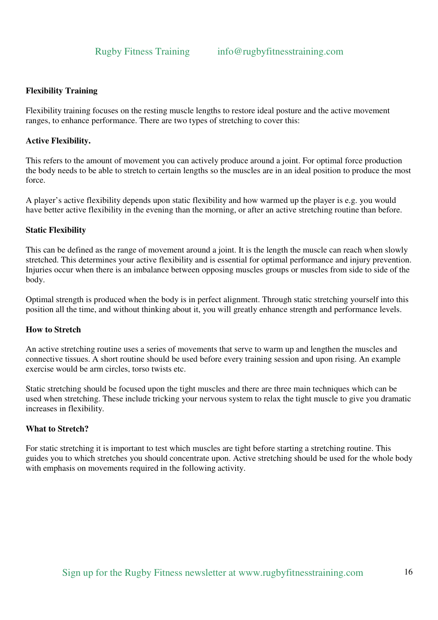# **Flexibility Training**

Flexibility training focuses on the resting muscle lengths to restore ideal posture and the active movement ranges, to enhance performance. There are two types of stretching to cover this:

# **Active Flexibility.**

This refers to the amount of movement you can actively produce around a joint. For optimal force production the body needs to be able to stretch to certain lengths so the muscles are in an ideal position to produce the most force.

A player's active flexibility depends upon static flexibility and how warmed up the player is e.g. you would have better active flexibility in the evening than the morning, or after an active stretching routine than before.

### **Static Flexibility**

This can be defined as the range of movement around a joint. It is the length the muscle can reach when slowly stretched. This determines your active flexibility and is essential for optimal performance and injury prevention. Injuries occur when there is an imbalance between opposing muscles groups or muscles from side to side of the body.

Optimal strength is produced when the body is in perfect alignment. Through static stretching yourself into this position all the time, and without thinking about it, you will greatly enhance strength and performance levels.

# **How to Stretch**

An active stretching routine uses a series of movements that serve to warm up and lengthen the muscles and connective tissues. A short routine should be used before every training session and upon rising. An example exercise would be arm circles, torso twists etc.

Static stretching should be focused upon the tight muscles and there are three main techniques which can be used when stretching. These include tricking your nervous system to relax the tight muscle to give you dramatic increases in flexibility.

# **What to Stretch?**

For static stretching it is important to test which muscles are tight before starting a stretching routine. This guides you to which stretches you should concentrate upon. Active stretching should be used for the whole body with emphasis on movements required in the following activity.